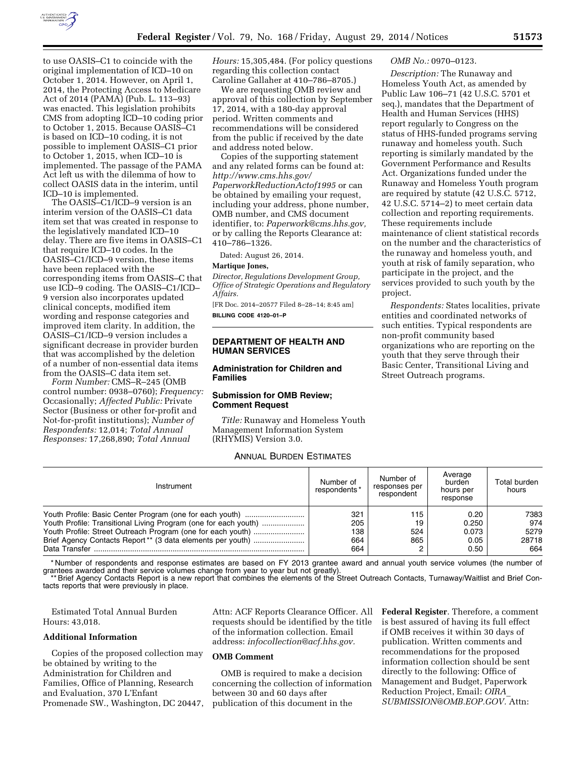

to use OASIS–C1 to coincide with the original implementation of ICD–10 on October 1, 2014. However, on April 1, 2014, the Protecting Access to Medicare Act of 2014 (PAMA) (Pub. L. 113–93) was enacted. This legislation prohibits CMS from adopting ICD–10 coding prior to October 1, 2015. Because OASIS–C1 is based on ICD–10 coding, it is not possible to implement OASIS–C1 prior to October 1, 2015, when ICD–10 is implemented. The passage of the PAMA Act left us with the dilemma of how to collect OASIS data in the interim, until ICD–10 is implemented.

The OASIS–C1/ICD–9 version is an interim version of the OASIS–C1 data item set that was created in response to the legislatively mandated ICD–10 delay. There are five items in OASIS–C1 that require ICD–10 codes. In the OASIS–C1/ICD–9 version, these items have been replaced with the corresponding items from OASIS–C that use ICD–9 coding. The OASIS–C1/ICD– 9 version also incorporates updated clinical concepts, modified item wording and response categories and improved item clarity. In addition, the OASIS–C1/ICD–9 version includes a significant decrease in provider burden that was accomplished by the deletion of a number of non-essential data items from the OASIS–C data item set.

*Form Number:* CMS–R–245 (OMB control number: 0938–0760); *Frequency:*  Occasionally; *Affected Public:* Private Sector (Business or other for-profit and Not-for-profit institutions); *Number of Respondents:* 12,014; *Total Annual Responses:* 17,268,890; *Total Annual* 

*Hours:* 15,305,484. (For policy questions regarding this collection contact Caroline Gallaher at 410–786–8705.)

We are requesting OMB review and approval of this collection by September 17, 2014, with a 180-day approval period. Written comments and recommendations will be considered from the public if received by the date and address noted below.

Copies of the supporting statement and any related forms can be found at: *[http://www.cms.hhs.gov/](http://www.cms.hhs.gov/PaperworkReductionActof1995)  [PaperworkReductionActof1995](http://www.cms.hhs.gov/PaperworkReductionActof1995)* or can be obtained by emailing your request, including your address, phone number, OMB number, and CMS document identifier, to: *[Paperwork@cms.hhs.gov,](mailto:Paperwork@cms.hhs.gov)*  or by calling the Reports Clearance at: 410–786–1326.

Dated: August 26, 2014.

#### **Martique Jones,**

*Director, Regulations Development Group, Office of Strategic Operations and Regulatory Affairs.* 

[FR Doc. 2014–20577 Filed 8–28–14; 8:45 am] **BILLING CODE 4120–01–P** 

## **DEPARTMENT OF HEALTH AND HUMAN SERVICES**

## **Administration for Children and Families**

## **Submission for OMB Review; Comment Request**

*Title:* Runaway and Homeless Youth Management Information System (RHYMIS) Version 3.0.

## ANNUAL BURDEN ESTIMATES

### *OMB No.:* 0970–0123.

*Description:* The Runaway and Homeless Youth Act, as amended by Public Law 106–71 (42 U.S.C. 5701 et seq.), mandates that the Department of Health and Human Services (HHS) report regularly to Congress on the status of HHS-funded programs serving runaway and homeless youth. Such reporting is similarly mandated by the Government Performance and Results Act. Organizations funded under the Runaway and Homeless Youth program are required by statute (42 U.S.C. 5712, 42 U.S.C. 5714–2) to meet certain data collection and reporting requirements. These requirements include maintenance of client statistical records on the number and the characteristics of the runaway and homeless youth, and youth at risk of family separation, who participate in the project, and the services provided to such youth by the project.

*Respondents:* States localities, private entities and coordinated networks of such entities. Typical respondents are non-profit community based organizations who are reporting on the youth that they serve through their Basic Center, Transitional Living and Street Outreach programs.

| Instrument                                                      | Number of<br>respondents* | Number of<br>responses per<br>respondent | Average<br>burden<br>hours per<br>response | Total burden<br>hours |
|-----------------------------------------------------------------|---------------------------|------------------------------------------|--------------------------------------------|-----------------------|
|                                                                 | 321                       | 115                                      | 0.20                                       | 7383                  |
| Youth Profile: Transitional Living Program (one for each youth) | 205                       | 19                                       | 0.250                                      | 974                   |
| Youth Profile: Street Outreach Program (one for each youth)     | 138                       | 524                                      | 0.073                                      | 5279                  |
|                                                                 | 664                       | 865                                      | 0.05                                       | 28718                 |
| Data Transfer                                                   | 664                       |                                          | 0.50                                       | 664                   |

\* Number of respondents and response estimates are based on FY 2013 grantee award and annual youth service volumes (the number of grantees awarded and their service volumes change from year to year but not greatly).

\*\* Brief Agency Contacts Report is a new report that combines the elements of the Street Outreach Contacts, Turnaway/Waitlist and Brief Contacts reports that were previously in place.

Estimated Total Annual Burden Hours: 43,018.

### **Additional Information**

Copies of the proposed collection may be obtained by writing to the Administration for Children and Families, Office of Planning, Research and Evaluation, 370 L'Enfant Promenade SW., Washington, DC 20447, Attn: ACF Reports Clearance Officer. All requests should be identified by the title of the information collection. Email address: *[infocollection@acf.hhs.gov.](mailto:infocollection@acf.hhs.gov)* 

#### **OMB Comment**

OMB is required to make a decision concerning the collection of information between 30 and 60 days after publication of this document in the

**Federal Register**. Therefore, a comment is best assured of having its full effect if OMB receives it within 30 days of publication. Written comments and recommendations for the proposed information collection should be sent directly to the following: Office of Management and Budget, Paperwork Reduction Project, Email: *[OIRA](mailto:OIRA_SUBMISSION@OMB.EOP.GOV)*\_ *[SUBMISSION@OMB.EOP.GOV.](mailto:OIRA_SUBMISSION@OMB.EOP.GOV)* Attn: